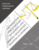# GROUP OF INDEPENDENT LAWYERS

COUNCIL SERVICE

THE JUDICIAN STRAIGHT

**IN GEORGIA AND** 

# ROAD, CHALLENGES **EXISTENCE OF STREET** TBILISI 2021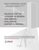# GROUP OF INDEPENDENT LAWYERS



**https://www.facebook.com/დამოუკიდებელი-იურისტების-ჯგუფი-Group-of-Independent-Lawyers-648795978915557**

# COUNCILS FOR THE JUDICIARY IN GEORGIA AND ABROAD, **CHALLENGES** EXISTING IN GEORGIA

**This report was made possible by the generous support of the American People through the United States Agency for International Development (USAID). The contents of this report are the sole responsibility of the Group of Independent Lawyers and do not necessarily reflect the views of East West Management Institute, USAID or the United States Government.**



E A S T · W E S T MANAGEMENT INSTITUTE Promoting Rule of Law in Georgia (PROLoG)

TBILISI 2021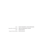Author: Responsible for the Publication: Editor: Design and Technical Editting: **KAKHA TSIKARISHVILI, IRAKLI KORDZAKHIA GROUP OF INDEPENDENT LAWYERS MARIAM IASHVILI KETEVAN GOGAVA**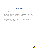# **TABLE OF CONTENTS**

| 4. EXPERIENCE OF SEVERAL EUROPEAN COUNTRIES IN TERMS OF NON-JUDICIAL |
|----------------------------------------------------------------------|
| 5. PROBLEMS RELATED TO THE SELECTION AND FUNCTIONING OF THE HIGH     |
|                                                                      |

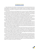## **INTRODUCTION**

Proper administration of the judiciary is of paramount importance to the smooth functioning of courts. The administration of the judiciary should ensure the independence of the individual judge from external and internal influences, accountability, efficiency, quality and public confidence in the judiciary. Unfortunately, the administration of the judiciary in Georgia does not achieve any of the minimum standards required for a democratic society.

At the end of the 20th century and the beginning of the 21st century, the model of collegial government of the judiciary became widespread in Eastern Europe, where judges play an important role. This model has been recommended in documents drafted by European advisory bodies - including the Council of Europe, the CCJE and the Venice Commission. Nevertheless, this model is not a mandatory standard: in both Western and Eastern Europe, a number of countries still have the so-called Ministry of Justice model.

With the support of the USAID Funded project of East-West Management Institute, USAID PRoLOG, the Group of Independent Lawyers studied European standards related to the Judicial Councils, models of the Judicial Council in European countries, their similarities and differences with the model in Georgia.

Both Georgian and Eastern European experience in the administration of the judiciary shows that there is a danger of using judicial administration mechanisms to influence individual judges. The introduction of the model of self-government of judges has helped to strengthen the corporativism of judges in many other Eastern European countries and to consolidate power in the hands of influential groups of judges.

The Georgian model of court administration, which placed more focus on the management of the courts by executive branch before 2007, has gradually been replaced by a model of self-government. Prior to 2013, the High Council of Justice was judicial self-government body with majority of judicial representation. However, judicial self government was a fiction as all important decisions were informally agreed with the Minister of Justice. After 2013, judges were given the opportunity to exercise self-government, although power in the judiciary was seized by a group of judges controlled by the previous government. The self-government became a mechanism for this group to consolidate its power.

The European standards of the High Council of Justice directly indicate that the Council of Justice should not become a source of corporatism, cronyism and concentration of power. Unfortunately, these threats have not been or could not have been taken into account in the drafting of the 4 Waves of Justice legislation since 2013. There was a concentration of power in the High Council of Justice, which in turn fell into the hands of an influential group of judges - the clan. In addition, an informal mechanism has been established in Georgia for years to enable the political authorities to interfere in the work of judges. This is done through the clan, which has secret communication with the current government.

The involvement of non-judicial members in the High Council of Justice, which should have been a mechanism of accountability to the public in the judiciary, has posed both legislative and practical problems. As it turned out, the removal of politicians from the High Council of Justice is not enough to depoliticize the judiciary, as a similar function can be assumed by non-judicial members appointed by the political majority.

Finally, the present study demonstrates the need for the High Council of Justice to undergo significant reform. Changes need to be made to increase power deconcentration, accountability and transparency. Their aim should be to reduce the power of influential groups of judges, to increase the individual independence of judges, the accountability and transparency of the judiciary.

5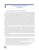## **1. HIGH COUNCIL OF JUSTICE OF GEORGIA**

#### **a. Regulation as defined by the Constitution and legislation.**

The High Council of Justice ("the Council") is a constitutional body in Georgia, the functions and composition of which are defined by Article 64 of the Constitution. The main purpose of establishing this body is to ensure the independence and efficiency of the judiciary. The Constitution does not define the function of the Council as ensuring accountability to the public in the judiciary. Instead, it is stipulated that the Council is accountable to the self-governing body of judges of common courts - the Conference. This cannot be equated with accountability to society. According to art. 64.4 of the Constitution of Georgia, HCOJ is accountable before judicial self-government body. Thus, this is not the same as accountability before public.

The task of ensuring the independence and efficiency of the judiciary as the function of the Council is in line with the original concept of the model of the Council of Justice developed by the European Union and the Council of Europe, when the independence and efficiency of the judiciary was considered its main asset.<sup>1</sup> However, over time, both the European Union and the Council of Europe have recognized other no less important goals for the establishment of the Judicial Councils: transparency, inclusion and accountability. Previously, in the academic literature, accountability of the judiciary as a no less important goal of the Judicial Councils was already considered in many academic papers<sup>2</sup>, although the concept papers of the European Union and the Council Europe limited the concept of accountability only within Council of Justice<sup>3</sup>. Only from 2013-2014 can we find the accountability of the court in these documents equal to the independence of the judiciary.4

The text of Article 64 of the Constitution regarding accountability to the Conference of Judges of the High Council of Justice is specified in Article 47 of the Organic Law of Georgia (hereinafter "the Law") on Common Courts. According to the law, the High Council of Justice of Georgia is accountable to the Conference of Judges of Georgia, which is reflected in the submission of the annual report on the activities of the High Council of Justice by the Chairman of the High Council of Justice of Georgia to the Conference of Judges.

In these circumstances, when the accountability of the Council is narrowly defined by the Constitution or organic law, more importance is attached to the principles of involvement and transparency recognized by the authors of the European model in, of which only Article 64 of the Constitution recognizes only the principle of involvement<sup>5</sup>.

Historically, the High Council of Justice has been represented in Georgia in three different models: Prior to 2007, the High Council of Justice was an advisory body of the President with 19 members, including the Chairman of the Supreme Court, the Minister of Justice, the Chairman of the Parliamentary Legal Committee,

<sup>5</sup> participation translates to engagement, although it can also be translated as participation.



<sup>1</sup> On Independence: CCJE, Recommendation N10 (2007) Par. 8, Committee of Ministers CM / RE (2010) 17.11.2010 Par. 4, on effectiveness: Recommendation No. R (94) 12 of the Committee of Ministers, 13.10.1994, CCJE Recommendation N10 (2007) para. 10,; ENCJ, Report on Judicial Councils 2010-2011, para. 1.7 For

<sup>2</sup> example Nuno Garoupa and Tom Gisburg, "Guarding the Guardians: Jusdicial Counsels and Judicial Independence" (2009) American Journal of Comparative law. 110

<sup>3</sup> David Kosar Perils of Judicial Self-Government in Transitional Sociates, Cambridge University Press 2016, 139, CCJE Recommendation 10 (2007) Chapter IV. ENCJ, Report on Judicial Councils 2010-2011, para. 2.2

<sup>4</sup> ENCJ documents on Independence and Accountability in the Judiciary https://www.encj.eu/articles/71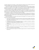2 members appointed by the President, 1 member appointed by Parliament and 9 members elected by the Conference of Judges on the recommendation of the President of the Supreme Court.

In 2007-2013, the High Council of Justice became an independent body from the President of Georgia. It consisted of 15 members, of which 8 judges were elected by the Conference of Judges nominated by the Chairman of the Supreme Court, 4 members were the Chairman of the Legal Committee and 3 members elected by the Parliament, and 2 non-judges were appointed by the President of Georgia.

Since 2013 and as of today, the High Council of Justice consists of 15 members, of which 8 judges are elected by the Conference of Judges on the basis of free nomination, by secret ballot, the Chairman of the Supreme Court is an ex-official member of the Council, 5 non-judges are elected by the Parliament (3/5 of the total membership). 1 member is nominated by the President of Georgia,

According to the Organic Law on Common Courts, the Parliament of Georgia and the President of Georgia may elect a citizen of Georgia who has a higher legal education with a master's degree or an equivalent academic degree / higher education, at least 5 years of work experience, high reputation, who is a recognized specialist in the field of law.

The functions delegated to the High Council of Justice by the Organic Law on Common Courts can be divided into the following main groups:

- a. Personnel function (appointment, promotion, dismissal, transfer, promotion of judges, determination of the number and specialization of judges in the courts, organization of qualification exams, approval of the staff list of court clerks, etc.).
- B. Disciplinary function (selection of an independent inspector, investigation of disciplinary complaints, accountability of a judge, support of disciplinary charges).
- C. Regulatory function (approval of organizational rules of work of courts, approval of rules of evaluation of officials, etc.
- D. Function of material support (hears the analysis of the Chairman of the Department of Common Courts)
- E. Function of administration and management of the judiciary, establishment of courts and definition of their areas of operation, analysis of statistics
- V. Other non-judicial functions (approval of mediation program, election of a member of the Legal Aid Council, etc.)

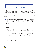# **2. INTERNATIONAL STANDARDS ON SUPREME JUDICIAL COUNCILS**

There are no mandatory international standards for the establishment and functioning of the Judicial Council, moreover, in some European countries (eg Germany, the Czech Republic, etc.) the Judicial Council does not exist in the classical sense and the judiciary is administered centrally by the Ministry of Justice. International documents related to the establishment and functioning of judicial councils are mainly of advisory character.

The most comprehensive document across Europe is the 2007 opinion of CCJE. N. 10 - Judicial Council in the service of society.

This document addresses the following key aspects of the establishment and functioning of the Council of Justice:

#### **a. Mission:**

 $\Gamma$  The mission of the Judiciary Council is to protect the independence of the judiciary and the individual independence of judges, as well as to ensure the quality and efficiency of the judiciary, to ensure public confidence in the judiciary<sup>6</sup>. The mission of the Judiciary Council is also to protect judges from political, ideological and cultural pressures and to ensure their unrestricted freedom<sup>7</sup>.

#### **B. Regulatory framework**

 $\Gamma$  It is recommended that key aspects of the Judicial Council be enshrined in the Constitution or other high-level legislation<sup>8</sup>.

#### **C. Composition**

The Council of Justice may consist of either judges or judges and non-judges only<sup>9</sup>. Perceptions of self-interest, self-protection, and favoritism should be avoided in any case<sup>10</sup>. If the Council of Justice is composed of judges and non-judges, the majority should be judges elected by their colleagues $11$ .

#### **D. Qualification**

 $\Gamma$  selection of members should be based on competence, experience, knowledge of the functioning of the judiciary, a culture of discussion and independence (paragraph 21).

- $\Gamma$  Non-judge members may be selected from distinguished lawyers, university professors, or citizens of distinguished status (para. 23).
- $\Gamma$  Council members should not be incumbent politicians, members of parliament or representatives of the executive (para. 24).

- 8 Supra note, par. 9
- 9 Supra note, par. 16
- 10 Supra note, par. 16
- 11 Supra note, par. 18.



<sup>6</sup> CCJE Opinion N. 10, 2007, par. par. 9-10.

<sup>7</sup> Ibid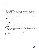#### **E. Selection of judicial members**

- $\Gamma$  They should be selected by way of election, except for ex-official members (eg the Chairman of the Supreme Court).
- $\Gamma$  Judges should be elected by a procedure that ensures broad representation of the courts at all levels (para. 27), including on territorial grounds (para. 30).

#### **Selection-judicial members**

Non judicial members should not be elected by the executive. If members are to be elected by parliament, they must be elected by a qualified majority, which requires significant support from the opposition (32). Non-judicial members of the High Council of Justice should represent the wide public (para. 32).

#### **F. Number of members and mandate**

The number of members of the Judicial Council should be commensurate with the scale of the judiciary and the functions to be performed by the Council (34).

#### **G. Status of members**

 $\Gamma$  Judicial Council must have guarantees of their impartiality and independence. Their remuneration should be commensurate with their position and activities on the Council for the Judiciary (36).

#### **H. Budget and staff**

 $\blacksquare$  The Council must have adequate funding, staff and material resources for the proper conduct of its activities (paragraphs 37-38).

#### **I. Decisions**

 $\Gamma$  Decisions concerning the administration and management of the judiciary, as well as decisions concerning the appointment, transfer, promotion and discipline of judges, must be substantiated and appealable in court (para. 39).

#### **J. Functions**

According to CCJE, the Council must have following functions (para. 42)

- $\blacksquare$  The selection of judges and the appointment
- **F** Promotion of judges
- $\blacksquare$  judges' evaluation
- $\blacksquare$  the discipline and ethics
- $\blacksquare$  training of judges
- **T** control and management of separate budget
- $\blacksquare$  of judges to protect the reputation
- **Provide opinions to other state agencies.**
- $\Gamma$  the cooperation with other relevant authorities at national, European and international levels.
- $\blacksquare$  Accountability to the public.

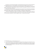The Advisory Council of European Judges recommends that the functions of the Council for the Judiciary be redistributed between its various chambers to avoid conflict between different functions (para. 43).

Additional provisions are provided by the Kiev Recommendations on the Independence of the Judiciary (2010). In particular, the Council of Justice should not include court presidents. If elected to the Council of Justice, they must resign as chairman<sup>12</sup>.

At the same time, in order to prevent corporatism and concentration of power, the Kiev Recommendations propose that the various functions of the administration of the judiciary, such as the appointment, promotion and training of judges, discipline, evaluation, and budget, be redistributed to different bodies<sup>13</sup>.

 The Venice Commission's 2021 report on the selection of members of the High Council of Justice in Ukraine focuses on ensuring the good faith of members of the Council of Justice and considers it permissible to set up a special commission to verify the integrity of future or already elected members<sup>14</sup>.

<sup>14</sup> Opinion of Venice Commission, On the draft law on amendments to certain legislative acts of Ukraine concerning the procedure for electing (appointing) members of the High Council of Justice (HCJ) and the activities of disciplinary inspectors of the HCJ (draft law no. 5068), https://www.venice.coe.int/webforms/documents/default.aspx?pdffile=CDL-PI(2021)004-e



<sup>12</sup> Kiev Recommendations on Judicial Independence, Par. 7.

<sup>13</sup> See. Kyiv Recommendations on Judicial Independence in Eastern Europe, South Caucasus and Central Asia , Par. 2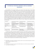# **3. JUDICIAL COUNCIL MODELS AND ACADEMIC OPINIONS**

The composition of the Council of Justice is one of the key issues that ensures not only judicial independence but also its accountability. The principle of inclusion of non-judicial members in the Council is intended to ensure greater accountability and is to some extent reflected in the participation of members of the public or political circles in the decision-making process. This is especially important in European model councils, which are characterized by a wide range of competencies in almost all matters relating to the admission of judges and their careers. Such a model is often referred to as the French-Italian model,<sup>15</sup> but at the same time such types of councils are composed of a majority of judges. However, the composition of the councils and the competence of the councils are often interrelated. Accountability is greater when non-judicial members of the board predominate, but at the same time the risk of court politicization is high, accountability may also be high if the council has broad powers, although it is necessary that most members of the judiciary do not act homogeneously. This is possible when judges from lower instances prevail on the board. Nuno Garupa and Tom Ginsburg described the councils with above criteria: competence and composition based on, see the table<sup>16</sup>:

| Competences                                                 | Dominated by the judges of<br>Supreme Court                          | Dominated by judges of<br>lower courts              | Dominated by non judges.                                                          |
|-------------------------------------------------------------|----------------------------------------------------------------------|-----------------------------------------------------|-----------------------------------------------------------------------------------|
| intense (discipline,<br>removal, promotion,<br>appointment) | strong hierarchical Judicial<br>Council (Japan, Mexico,<br>Thailand) | Strong Hierarchical<br>Council (Italy, France)      | Politicized Justice<br>Council (Equatorial,<br>Barbados, Singapore)               |
| Medium (Appointments<br>Only)                               | Hierarchical self-<br>Regulatory judicial<br>appointments Commission | Non hierarchical strong<br>Council (Itali, France). | Judicial Appointments<br>Commission<br>(USA, UK, Canada,<br>Netherlands, Germany) |
| Minimum (Internal<br>Arrangement Issues)                    | Weak Council (Panama)                                                | <b>Weak Council</b><br>(Brazil, Hungary)            | Weak Council (Paraguay)                                                           |

According to the authors, the majority of judges means that the council will be less politicized, although it is important whether the judges on the council act as a homogeneous entity. The authors relate this to a case where the majority of council members are from higher courts, as in this case they will seek to strengthen the judicial hierarchy.17 The authors' finding is also confirmed by the example of Georgia: 7 out of 9 members of the Council have recently been chairmen of various instances or chairmen of panels and chambers in the court, while in Georgia judge members act as a homogeneous group when making decisions<sup>18</sup> (see below). The authors also believe that if board members represented different courts, in this case there would be domestic court policy, which would prevent court members from acting as a unified team.<sup>19</sup>

19 Nuno Garoupa, Tom Ginsburg, p. 121



<sup>15</sup> Nuno Garoupa, Tom Ginsburg "Guarding the Guardians: Judicial Councils and Judicial Independence" (2009) 57 American Journal of Comparative Law p. 110

<sup>16</sup> Supra note, p. 103

<sup>17</sup> Ibid., P. 121

<sup>18</sup> See. Among other documents, the statement of the Public Defender on 26.12.2018, the statement on 28.06.2019.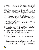It is widely believed in academic research that the European model of a strong council, which until recently required a majority of judges, leads to a lack of judicial accountability in the long run at the expense of strengthening independence, as exemplified by many Eastern European countries.<sup>20</sup> Lack of accountability in turn limits the independence of individual judges. Councils' accumulation of power in Moldova, Georgia, and Ukraine has also been critically evaluated, as similar examples already exist in Romania and Hungary, where strong councils have often been criticized for lack of accountability.<sup>21</sup> Lydia Müller's article was published in 2012, when judicial reform initiatives were implemented in Georgia shortly after the arrival of a new ruling coalition in Georgia. In this regard, Lydia Müller's analysis is also interesting: "Although no similar assessment [of lack of accountability] has been made towards Moldova, Georgia and Ukraine, the trend towards a strong council with multilateral competence in various areas of justice administration is noticeable and a cause for concern. Judicial councils in Moldova, Georgia, and Ukraine are responsible for appointing, promoting, and prosecuting judges, including imposing sanctions, and in the long run, raising the risk of lack of accountability<sup>22</sup> . within a few years after the start of justice reform trends have been identified including lack of pluralistic environment, lack of accountability and independence of individual judges $^{23}$ .

The concept of involvement was changed by the initiators of the European model of the Council - the European Union and the Council of Europe. After initial opposition, they softened their stance and agreed on composition of council on parity between judge and non-judge members. For example in the ENCJ Justice Councils Report 2010-2011, para. 2.2. committee of Ministers Recommendation CM / Rec (2010) 12 on Judges: Independence, Efficiency and Duties, 17.11.2010, para. 17 the admission of half of the members of the Council by judges is considered acceptable, while earlier documents required a significant majority of judges in the Councils (CCJE, Recommendation No. 10 (2007) on Judicial Councils at the Service of Society, (Strasbourg, November 21-23, 2007).<sup>24</sup>, Opinion of the Venice Commission no. 403/2006, which also stipulates that judges must have a majority in the Council of Justice.25

After the collapse of the Soviet Union, the introduction of the Judiciary Council models in Eastern Europe led to mixed results and in some cases even earned strong academic criticism. Although the Judicial Council model was seen as a mechanism for ensuring the political independence of the judiciary, which was lobbied by European structures (EU, Council of Europe, Venice Commission, CCJE), post-Soviet mentality and lack of a culture of independence strengthened the power of influential groups, reduced the individualism of judges, encouraged corporatism, and the instrumentalization of Judiciary Councils. 26

- 20 Z. Fleck, Judicial Independence in Hungary, Chapter BI 2. C. E Printed by Anja Seibert-Fohr (ed.) Judicial Independence n Transition, Max Planck Institute for Comparative Public Law and International Law. Parau, The Drive for Judicial Supremacy, Chapter C. IV. In the same edition R. Coman / C. Dallara, Judicial Independence in Romania, Chapter BI 2; In the same issue Lydia F. Muller, Judicial Administration in Transitional Eastern Countries, in the same edition p. 938 David Kosar, cited in footnote 3, p. 139
- 21 Lydia F. Muller, Judicial Administration in Transitional Eastern Countries. P 944

- 23 Fifth Report of monitoring HCOJ 30.05.2017. available at http://ewmi-prolog.org/ka/publications/613-iusticiis-umaghlesi-sabtshos-monitoringis
- 24 David Kosar , cited in footnote 3, p. 139
- 25 Court Appointments, Opinion of the Venice Commission no. 403/2006, 22.06.2017 / Fri. 50,
- 26 "Granting extensive self-administration powers to the judiciary before genuine internal reform is dangerous in a better scenario, the new institution will be a somewhat empty shell for a few years or decades to come. In a bad case scenario, which unfortunately appears more frequently, behavior and patterns start emerging which are very distant from anything the model was supposed to deliver: Individual judicial independence and impartiality is not only unprotected, it may be suppressed by judicial bosses. To speak of efficiency, quality, or transparency — other values apart from the judicial independence the system promised to deliver — would amount to idealism bordering on naivety". See. Michal Bobek & David Kosař, Global Solutions, Local Damages: A Critical Study in Judicial Councils in Central and Eastern Europe, 2014.



<sup>22</sup> Ibid p. 944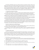The literature distinguishes between the Southern European and Northern European models of the High Council of Justice. In the Southern European model, the main function of the Council is to ensure the independence of the judiciary, the selection of judges (or participation in the selection process), discipline, and in the Northern European model, the Councils of Justice have broad powers in judicial administration (case oversight, uniform practice, logistics, electronic case management, training). , budget, etc.)<sup>27</sup>. Southern European model is most common in East Europe, which is assorted by court administrative functions.

Below we discuss more detailed models of Council composition, selection rules and functioning:

#### **a. Composition and number of members.**

The High Council of Justice is composed of members elected by different branches of government, in most cases these three different branches: the court, the parliament and the president (elected members).

In some countries a quota of court presidents is set aside separately for members of the judiciary, for example in France one member is the president of the appellate court, elected by his fellow presidents, and the president of the court of first instance, who is also elected by his fellow presidents<sup>28</sup>.

In some countries (eg France, Italy) the Council of Justice consists of two chambers where one chamber is for the court and the other chamber is the administration of the prosecutor's office. Judges are represented in the Judicial Chamber, and prosecutors are represented in the Chamber of Prosecutors.

The number of members of the Council of Justice varies from country to country, depending on the size of the judiciary, the functions of the Council of Justice, and other contexts.29 Also noteworthy is the fact that in some European countries the Council of Justice is not only managing court but also is a governing body of the prosecutor's office. Thus, Belgian Council of Justice has 44 members, 27 in Italy, 22 in France, 21 in Spain, 19 in Romania, 18 in Slovakia, 15 in Hungary and 8 in Montenegro<sup>30</sup>

#### **Proportion of Judicial and Non-Judicial Members**

Judicial members of the Judicial Council in different European countries are either a majority (Slovenia, Spain, Italy), or half (eg Slovakia, Belgium), or less than half (Portugal, France).

In Lithuania, the Council of Justice consists only of judges. It consists of 20 members elected by the Conference of Judges and 3 ex-officio members (Presidents of the Supreme, Appellate and Administrative Courts).

#### **C. Chairman of the Council.**

In Slovenia, the Chairman of the Council is elected by the Council of Justice. In some countries, e.g. In Italy the Council is chaired by the President of the Republic. In Portugal, the High Council of Justice is chaired by the President of the Supreme Court. There is an interesting rule for the selection of the Chairman of the Council in Hungary, where the Chairman is elected by rotating the members of the Judiciary once every 6 months<sup>31</sup>. The rotation of judges and non-judges of the Board of Directors takes place also in Belgium<sup>32</sup>.



See. E.g. example of the Slovak Judicial Council, See. Ibid.

<sup>27</sup> CEPEJ Report- Councils for the Judiciary in EU Countries, Prof. Wim Voermans and Dr Pim Albers, https://www. vkksu.gov.ua/userfiles/doc/cepej/CEPEJ%20Report%20on%20Councils%20for%20the%20Judiciry%20in%20 EU%20countries.pdf

<sup>28</sup> https://fr.wikipedia.org/wiki/Conseil\_sup%C3%A9rieur\_de\_la\_magistrature\_(France)

<sup>29</sup> ENCJ webpage, https://www.encj.eu/images/stories/pdf/factsheets/hrj\_csj\_belgium.pdf

<sup>30</sup> Inevitably, there are more members in Councils for the Judiciary where the prosecution's office is part of the judiciary.

<sup>31</sup> ENCJ webpage, https://www.encj.eu/images/stories/pdf/factsheets/obt\_hungary.pdf

<sup>32</sup> ENCJ webpage, https://www.encj.eu/images/stories/pdf/factsheets/hrj\_csj\_belgium.pdf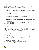#### **D. Terms of office.**

Different terms of office are envisaged: 6 years in Hungary and Romania , 5 years in Bulgaria, 4 in France,<sup>33</sup> Portugal has interesting rule, where the members of the Council are elected for the term of appointing authority (Parliament appoints for 4 years, President appoints for 5 years) $34$ .

#### **E. Re-election**

Reelection is limited in many countries. E.g. In Italy, in Bulgaria a council member is not eligible to be elected for two consecutive terms<sup>35</sup>.

In Slovakia, Latvia they can be elected only twice in a row<sup>36</sup>.

#### **F. Rules for the election of judicial members.**

In Hungary, members of the judiciary are elected by a conference of judges by secret ballot by a simple majority of votes<sup>37</sup>.

In some countries (eg Hungary) quotas are set for judges of different courts.

#### **Z. Functions**

#### **The following functions of Judicial Councils differ from each other in terms of comparative overview:**

#### **Careers of Judges**

This includes the appointment - dismissal of judges (Bulgaria, Spain), promotion (Bulgaria, Spain), transfer (Bulgaria, Spain, Latvia).

In some countries the Judicial Council itself does not decide on the appointment of a judge, but rather makes a recommendation to the appointing authority (eg the President - Lithuania, Slovakia).

#### **Training:**

The functions of the Council of Justice in this regard are different. This could be e.g. approval of training guidelines (Belgium38), administration of trainings (Lithuania), participation in the formation of the School of judges (Bulgaria, Slovakia), approval of the curriculum of the School of Judges (Romania, Slovakia), in some countries the Council of Justice has no such competence (Slovenia). .

#### *<u>I* Judicial ethics</u>

These can be: approving the rules of judicial ethics (Belgium, Hungary), consulting on judicial ethics (Slovenia).

#### **Discipline**

This can be the start of a disciplinary investigation (Slovenia), the substantive hearing of the case (Bulgaria, Romania, Italy), the appointment of members of disciplinary bodies (Lithuania, Slovakia).

<sup>38</sup> ENCJ webpage, https://www.encj.eu/images/stories/pdf/factsheets/hrj\_csj\_belgium.pdf



<sup>33</sup> ENCJ webpage, https://www.encj.eu/images/stories/pdf/factsheets/bcc\_vss\_bulgaria.pdf

<sup>34</sup> ENCJ webpage, https://www.encj.eu/images/stories/pdf/factsheets/csm\_portugal.pdf

<sup>35</sup> https://it.wikipedia.org/wiki/Consiglio\_superiore\_della\_magistratura

<sup>36</sup> ENCJ webpage, https://www.encj.eu/images/stories/pdf/factsheets/tp\_latvia.pdf

<sup>37</sup> ENCJ webpage, https://www.encj.eu/images/stories/pdf/factsheets/obt\_hungary.pdf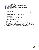In some countries the Council of Justice has no disciplinary powers at all. In Latvia, for example, disciplinary cases are handled by a disciplinary committee and a disciplinary court<sup>39</sup>.

- **Appointment of Court Chairmen (Slovenia).**
- **Receiving complaints about violations of the rights of judges (Slovenia).**
- **Legislative activity:**

This could be the drafting of proposals for court-related bills (Belgium<sup>40</sup>), submission of opinions (Latvia).

#### **Receiving complaints.**

This could include receiving complaints about court activities and investigating them (Belgium).

#### **F** Supervision of property declarations of judges (Hungary).

#### **<u>F</u>** Judicial immunity:

Issuance of a permit to detain a magistrate, search (Romania).

#### **Relations with other authorities (Lithuania)**

#### **T. Appeal against decisions of the Council**

In Spain the decisions of the Council are appealed to the Administrative Chamber of the Supreme Court. In some countries the decisions of the Council are not subject to appeal (Belgium, Latvia, Slovakia).

In some countries only part of the decisions of the Council can be appealed, e.g. In Portugal and Romania, only HR related decisions are appealed.41. (Disciplinary decisions in Romania as well).



<sup>39</sup> ENCJ webpage, https://www.encj.eu/images/stories/pdf/factsheets/tp\_latvia.pdf

<sup>40</sup> ENCJ webpage, https://www.encj.eu/images/stories/pdf/factsheets/hrj\_csj\_belgium.pdf

<sup>41</sup> ENCJ webpage, https://www.encj.eu/images/stories/pdf/factsheets/csm\_portugal.pdf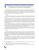# **4. EXPERIENCE OF SEVERAL EUROPEAN COUNTRIES IN TERMS OF NON-JUDICIAL MEMBERSHIP**

Detailed information on the procedure, powers and functions of nominating and electing European countries is provided in the Annex to the ENCJ 2015-2016 Report: *Participation of Non-Judicial Members in Judicial governance with Questionnaire and replies*<sup>42</sup>. For the purposes of this document, we shall review only those countries whose functions of the Council are similar to those of the current system in Georgia as well as in which are affected by Venice Commission Opinion no. 976/2019<sup>43</sup>

#### **Belgium**

The Belgian Council makes decisions on the appointment of judges and other matters, although it does not have the power to discipline judges, it only has the power of inquiry. It has 22 judges and 22 non-judges equally.

Non-judicial members are elected by the Senate by a two-thirds majority. The 22 members are divided into 11 Dutch-speaking and 11 French-speaking members. Each group should have 4 members of the Bar Association with at least 10 years of experience, 3 professors of higher education institutions and 4 members with higher education and at least 10 years of experience in the relevant profession. Bar associations and universities can nominate candidates. At least 5 members must be nominated from c each linguistic group, for a total of 10 members.

There is no functional difference between judge and non-judge members. The Board is chaired by a Bureau consisting of 2 judges and 2 non-judge members, each from a linguistic group, who chair the Board on a rotating basis for one year. Additionally, each of them chairs the Nomination and Appointment Committee or the Recommendation and Inquiry Committee. Bureau members work full time.

All bodies of the Council consist of an equal number of Judge and Non-Judge members. Decisions are usually made by a majority of the members present, although 10 of the 14 members are required to appoint a judge and decisions are made by a 2/3 majority.

#### **Serbia**

In Serbia, the High Council of Justice is composed of the Supreme Court Chair, the Justice Minister and the National Assembly (Parliament) Judiciary Committee chairman, as ex officio members, as well as 8 members elected by National Assembly, of which 6 are judges, and 2 the Practicing attorney and law professor with minimum 15 years professional experience. Non-judicial members receive additional remuneration for exercising the powers of a board member. Continuing to work in the profession Non-judicial members are not prohibited.

The Serbian Bar Association nominates a lawyer for the council<sup>44</sup>. The Bar Association ensures the broad participation of lawyers in the nomination of a member of the Board. The mentioned procedure: Deadlines, nomination, election and nomination of the candidate are determined by the Act of the Bar Association. It is possible to nominate more than one candidate.

<sup>44</sup> representative of the Bar Association in France is elected by the President of the National Bar Association in Conseil supérieur de la magistrature.



<sup>42</sup> ENCJ webpage, https://www.encj.eu/images/stories/pdf/workinggroups/encj\_pt\_standards\_vi\_non\_judicial\_ members\_annex.pdf

<sup>43</sup> Venice Commission and DHR Joint Urgent Joint Opinion No. 976/2019, 19.06.2020 The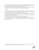The professor is elected as a member of the council by the deans of the law faculties of the country at a joint session.<sup>45</sup> The Joint Session of the Deans is convened and chaired by the Dean of the oldest Faculty of Law in the country, who also nominates the elected candidate to the National Assembly.

All members of the Board have equal authority, although the Chairman of the Council is the Chairman of the Supreme Court of Cassation. The judge also chairs the qualification commission.

#### **Slovenia**

The Council of Justice consists of 11 members, from which judges are 6 members, and 5 members are elected by the National Assembly from among the professors, lawyers and other jurists nominated by the President of the country. These lawyers can be notaries as well as business lawyers.

The President makes his submission based on applications he receives from law schools, the Slovenian Bar Association, the Notary Association and the Association of Business Lawyers. Non-judicial members are not prohibited from working in the profession.

The Board elects the Chairman from among its members. Non-judicial members may be elected as chairpersons, and in practice, the board has twice been chaired by a law professor.

The council makes decisions by a majority of votes, although important decisions are made by 2/3, namely: the nomination of a person to the National Assembly and the reappointment of an already elected judge to another position.

<sup>45</sup> Croatia has a similar rule for electing an academy representative to the Council, where each law faculty is represented by 4 full professors, who elect 2 professors to the Council of Justice.

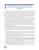# **5. PROBLEMS RELATED TO THE SELECTION AND FUNCTIONING OF THE HIGH COUNCIL OF JUSTICE IN GEORGIA**

Although the majority of members in the High Council of Justice in 2007-2012 were judges, until 2012 the High Council of Justice in Georgia was perceived not as a guarantor of the independence of the judiciary, but as a mechanism for pressuring and intimidating judges. The Minister of Justice, who was removed from the membership of High Council of Justice in 2007, was informally involved in the management of the judiciary, with all key decisions being agreed with the Minister of Justice<sup>46</sup>. It was through the High Council of Justice that politically disobedient judges were punished and obedient judges were encouraged. Both the High Council of Justice and key administrative positions were concentrated in the hands of influential groups of judges through which political control over the court was exercised.<sup>47</sup>.

As a result of the 2013 reform, it is true that judges were given the opportunity to elect members of the High Council of Justice by free and secret ballot, but for a number of reasons<sup>48</sup>, they re-elected members of the old elite (clan) as members of the council. In 2013-15, there was some controversy between judges and non-judges of the High Council of Justice. Often decisions could not be made due to a lack of necessary votes.

Since 2015, the High Council of judges and non members' positions got closer, behind which stands the alleged political deal that took place between Georgian Dream and the influential group of judges<sup>49</sup>.

In 2013-2021 HCOJ turned from repressive mechanism to corporate defense mechanism in the hands of an influential group, the so-called clan. This is also demonstrated by disciplinary statistics. If in 2004-2012, 209 judges were disciplined, 39 of whom were dismissed, after 2012 only 10 judges were disciplined, with light disciplinary sanctions imposed on them.

The group of influential judges won all elections to the Conference of Judges (2013, 2017, 2021), but if there was still formal competition between the candidates by before, this competition disappeared in 2021: by an absolute majority of votes four candidates who had no competitors were elected to the four vacant seats<sup>50</sup>.

It is worth mentioning the presence of court chairmen in the High Council of Justice. While the 2013 Legislative Amendments removed the Court Chairmen from the High Council of Justice, the 2017 Legislative

<sup>50</sup> https://1tv.ge/news/mosamartleta-konferenciam-iusticiis-umaghlesi-sabchos-otkhi-mosamartle-wevri-airchia/



<sup>46</sup> See. Tsikarishvili K. Clan governance in court since 2007, https://dfwatch.net/%E1%83%99%E1%83%9A%E1%83 %90%E1%83%9C%E1%83%A3%E1%83% A0% E1% 83% 98-% E1% 83% 9B% E1% 83% 9B% E1% 83% 90% E1% 83% A0% E1% 83% 97% E1% 83% 95% E1% 83% 94 % E1% 83% 9A% E1% 83% 9D% E1% 83% 91% E1% 83% 90-% E1% 83% A1% E1% 83% 90% E1% 83% A1% E1% 83% 90- 53161

<sup>47</sup> See. Tsikarishvili K. Clan governance in judiciary since 2007, https://dfwatch.net/%E1%83%99%E1%83%9A%E1% 83%90%E1%83%9C%E1%83%A3%E1%83% A0% E1% 83% 98-% E1% 83% 9B% E1% 83% 9B% E1% 83% 90% E1% 83% A0% E1% 83% 97% E1% 83% 95% E1% 83% 94 % E1% 83% 9A% E1% 83% 9D% E1% 83% 91% E1% 83% 90-% E1% 83% A1% E1% 83% 90% E1% 83% A1% E1% 83% 90- 53161

<sup>48</sup> among them by fear of losing the job, as well as by carrier aspirations: on the one hand, before 2012 the judges perceived the HCOJ as repressive body, therefore, after the change of government they elected the most discredited colleagues, who would not have moral right to punish their colleagues for the past misdeeds. On the other hand, the members of the clan were promising to the judges the full immunity, lifetime appointment and other privileges. (as opposed to the civil society, political parties and even the government who were threatening judges with liability, dismissal, revelation of their past misconduct and etc). see supra note.

<sup>49</sup> See. Tsikarishvili K. Clan Based Governance in court since 2007, https://dfwatch.net/%E1%83%99%E1%83%9A%E 1%83%90%E1%83%9C%E1%83%A3%E1%83% A0% E1% 83% 98-% E1% 83% 9B% E1% 83% 9B% E1% 83% 90% E1% 83% A0% E1% 83% 97% E1% 83% 95% E1% 83% 94 % E1% 83% 9A% E1% 83% 9D% E1% 83% 91% E1% 83% 90-% E1% 83% A1% E1% 83% 90% E1% 83% A1% E1% 83% 90- 53161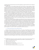Amendments again reintroduced them into the HCOJ, signaling once again the deal between the ruling party and the judges' clan<sup>51</sup>.

Until 2013, there were 6 non-judicial members of the Council of Justice in Georgia, including 3 members elected by the Parliament, and the Chairman of the Parliamentary Committee on Legal Affairs was ex officio. 2 members of the Council were represented by the President of Georgia.<sup>52</sup> The amendments in 2013<sup>53</sup> replaced parliamentarians with professors, lawyers, and representatives of non-governmental organizations involved in advocacy in court and elected by Parliament. The law initially provided for the election of six members by parliament, but the law was soon brought into line with the constitution, which gave the president of Georgia the power to appoint one member to the council, thus parliament retaining a quota of five members.

The law allowed each organization to nominate no more than 3 candidates, and members had to be elected by 2/3 of the vote, although if candidates could not get 2/3 of the vote, it was possible to nominate 4 of the 5 members nominated by Parliament by a simple majority<sup>54</sup>. Venice Commission No. Opinion 701/2012 contained a recommendation that the non-judicial members be elected by a 2/3 majority of the parliament, although an anti-deadlock mechanism or other proportionate method should have been proposed to ensure that the opposition can influence the election of council members. At the same time, the anti-deadlock mechanism should not have been a means of circumventing an attempt to reach an agreement based on the participation of 2/3 of the votes.<sup>55</sup>

It seems that the Parliament did not accept this recommendation of the Venice Commission and considered it desirable to move from the principle of qualified majority only to the principle of simple majority in order to exclude a deadlock. As a result, the ruling party appointed 4 non-judicial members without the consent of the opposition, and 1 member was vacant for 4 years, until the law was amended again in 2017<sup>56</sup> and the quota for electing all non-judicial members fell from 2/3 to a simple majority, as the result of which the ruling party fully staffed HCOJ, against the opinion of the Venice Commission without the involvement of the parties.

Only in 2018, in connection with the adoption of the new version of the Constitution, the wording of Article 47 of the Law was changed again and a 3/5 majority was determined for the election of non-judicial members, which is still less than the Venice No. 2/3 provided in Opinion 701/2012. However, compared to the previous regulation, it is a positive initiative to get opposition involved in the process.

#### *1.1. Criticism of the selection of non-judicial members*

Numerous critical statements have been made in civil society and professional circles regarding the procedure for electing non-judicial members and their independence. This is significantly due to the non-compliance with the recommendation of the Venice Commission in 2013, which resulted in non-judicial members being appointed to the ruling power without the consent of the opposition. It is true that the Organic Law on Common Courts provided for their submission by non-political entities, but the independence of the submitting entities from the government raised questions. Consider the informal deal that exists between the ruling clan in court and the ruling party, which is evident in many decisions of the Council of Justice.<sup>57</sup>



<sup>51</sup> See. Report of the Young Lawyers Association, Justice Reform in Georgia in 2013-2021, https://gyla.ge/files/news /%E1%83%A4%E1%83%9D%E1%83%9C%E1%83%93% E1% 83% 98/2021 / GetFileAttachment-4.pdf

<sup>52</sup> Organic Law on Common Courts, Art. 47.4

<sup>53</sup> Organic Law of May 1, 2013 № 5 80

<sup>54</sup> Amendment to the Law 01.05.2013 Par. 4

<sup>55</sup> Venice Commission No. 701/2012 Opinion, 11.03.2013 Par. 52-53

<sup>56</sup> Amendment to the Law 13.02.2017, Par. 24.b)

<sup>57</sup> This is not the subject of this chapter and will not be discussed in detail.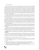#### **Lack of independence**

Back in 2015, when the votes of non-judicial members: Eva Gotsiridze, Vakhtang Tordia and Kakha Sofromadze were decisive, they issued a statement explaining the reason for their decision to appoint Levan Murusidze, one of the subjects of sharp criticism of the European Court. One of the arguments was a certain deal between judge and non-judge members, which resulted in the nomination of candidates supported by both judge members and non-judge members.<sup>58</sup> Non-judicial members acknowledged that they made decisions not on the basis of a particular candidate's good faith and competence, but on the basis of other, non-statutory considerations. According to a document drafted by the Coalition for Dependent and Transparent Judiciary (Judicial Reform and Perspectives), the statement confirmed the suspicions that the council was not guided by the criteria set by law in appointing judges, but decided on the basis of secret deals between council members.<sup>59</sup>

The Transparency International and GYLA report, published in 2017, negatively assessed that members of the judiciary, who generally took a uniform position on all issues, always managed to gain the support of the required number of non-judges, with dissenting opinions from only the same non-judges and, in some cases, the Council Chair. 60

According to the authors of the report, the majority of the newly elected members failed to show proper steadiness and individualism. <sup>61</sup> The same view is expressed in the above-mentioned document, Judicial System Reforms and Perspectives:: The pluralism achieved since 2015 has gradually changed and the positions of individual non-judicial members have increasingly coincided with the positions of judge members. The document suspects that decisions were made by prior agreement, as they were preceded by closed-door consultations with board members.62 It is therefore probable that part of the non-judicial members participated in such closed consultations.

The ombudsman outlined the apparent agreement of one non-judge member with a homogeneous group of judge members in a special report, stating, "We can assume that 10 members of the High Council of Justice (including all judge members of the Supreme Court) acted as one group in the process of selecting Supreme Court judges<sup>63</sup>. "

Part of the non-judicial members also agreed with the homogeneous group of judge members when, in December 2018, the council sent 10-member Supreme Court judges to parliament without any competition or public hearing, which was deemed unconstitutional by the ombudsman and non-governmental organizations. It is clear that even in this case, part of the non-judicial members acted in agreement with the clan.

#### *Selection through a non-transparent process and failure of verification of minimum qualification requirements.*

The procedure for selecting non-judicial members of HCOJ during the last 9 years is also subject to criticism. On June 21, 2017, the impossibility to ask questions to non-judicial members elected by Parliament was assessed as a closed process, while 5 minute oral introductions made by these candidates was assessed as a formal process.<sup>64</sup> The report also criticizes Shota Kadagidze, a person elected in May 2017, about whom

<sup>64</sup> Ibid., P.11; Also the appeal of the Coalition for Independent and Transparent Judiciary to the renewed composition of the High Council of Justice - 3.07.2017 03 July 2017



<sup>58</sup> Statement of non-judicial members of the High Council of Justice. 25.12.2015

<sup>59</sup> "Judicial System Reforms and Perspectives" 2017. p. 15, http://www.coalition.ge/index.php?article\_id=150&clang=0

<sup>60</sup> Council of Justice Monitoring Report # 6, p.6, http://ewmi-prolog.org/ka/publications/613-iusticiis-umaghlesi-sabtshos-monitoringis

<sup>61</sup> Ibid. P. 6

<sup>62</sup> Judicial Reforms and perspectives 2017. p. 12, http://www.coalition.ge/index.php?article\_id=150&clang=0

<sup>63</sup> საქართველოს სახალხო დამცველი, საქართველოს უზენაესი სასამართლოს მოსამართლეობის კანდიდატების იუსტიციის უმაღლესი საბჭოს მიერ შერჩევის მონიტორინგის ანგარიში, 2019 წ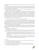no public discussion was held and MPs did not ask questions, and the public was not informed about his background<sup>65</sup>

It is clear that the degree of transparency in the election of non-judicial members has not improved since 2013, when the process was also assessed negatively. In 2013, interested organizations requested Parliament to hold a public interview with the candidates. However, the interview was held behind closed doors and the public was not allowed to follow the process.<sup>66</sup>

In many cases, the verification of the required qualification requirements established by law is not performed by the Parliament, or is performed improperly.

On May 14, 2019, the Coalition for Independent and Transparent Judiciary addressed the Parliament of Georgia with a request to study the legality of the election of Zaza Kharebava, a non-judicial member of the High Council of Justice. According to the coalition, the requirements of the law were violated during the election of Zaza Kharebava, as his candidacy was submitted to the parliament by an unauthorized entity. According to the law, a non-profit (non-commercial) legal entity has the right to nominate a candidate for membership in the High Council of Justice of Georgia, if during the last 2 years before the announcement of the competition one of its activities was to exercise representation in court proceedings. Zaza Kharebava's nominating organization does not meet this requirement<sup>67</sup>.

The Parliament of Georgia has not yet considered this request of the coalition.

According to the Organic Law on Common Courts, a recognized specialist in the field of law could be elected as a member of the Council of Justice. It is unclear in which field of law the recognized specialists are e.g. Shota Kadagidze, Zaza Kharebava, or Levan Gzirishvili who were elected as members of the High Council of Justice in 2017. At the same time, well-known professors of various fields of law (eg Irakli Dvalidze, Shalva Kurdadze, Paata Turava) took part in the competition for membership in the High Council of Justice in 2017,<sup>68</sup>but could not get the support of the Parliament.

In July 2020, the President of Georgia appointed Tamar Gvamichava, a member of the High Council of Justice, through an opaque procedure. Although 14 candidates participated in the announced competition, neither the names of the candidates nor their biographies were known to the public. The interview with them was also closed.

#### *Lack of influence on important decisions*

The next problem that has emerged is that a homogeneous group of judges has been able to decide without the participation of non-judicial members and, in some cases, without prior notice. For example:

- i. Independent Inspector can be appointed by simple majority of votes but dismissed by ⅔ of votes of members of HCOJ. This allows judge members to appoint inspector acceptable to them to the position and release, with the support of one non judicial member, as soon as the inspector is out of their control $69$
- ii. Gocha Mamulashvili, a non-judge member, while discussing the issue of the court presidents, noted that in four years it has never happened to ask for an opinion from non judicial members, HCOJ does not need <sup>2</sup>⁄3 of members to elect a chairman and the judge member.<sup>70</sup>

<sup>70</sup> Monitoring Report of the High Council of Justice # 6, p. 54, available at http://ewmi-prolog.org/ka/publications/613-iusticiis-umaghlesi-sabtshos-monitoringis



<sup>65</sup> ibid. P. 11

<sup>66</sup> "Monitoring Report of the High Council of Justice 2012-2014" GYLA, Transparency International-Georgia. 2015

<sup>67</sup> GDI webpage, https://gdi.ge/ge/news/zazakharebava.page

<sup>68</sup> Source - https://ipress.ge/new/iustitsiis-umaghlesi-sabtch-14/

<sup>69</sup> GYLA and Transparency International Georgia, High Council of Justice Monitoring Report # 7, 2019, p. 10.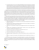iii. Non-judicial members of the council, Vakhtang Mchedlishvili and Nazi Janezashvili, have repeatedly stated that information on issues to be discussed at the Monday session was uploaded to the internal system on Fridays or weekends, leaving them with unreasonably little time to prepare. There were also cases when non-judicial members did not have information before the hearing about the candidates whose appointment to the chairmanship of the court was to be decided by the Council; Non-judge members were not informed about the justification of the drafts that were submitted to the council, $71$ 

Despite the fact that the law provides for a 2/3 majority for taking of decisions, which means that members of the judiciary, who are basically homogeneous unity, need 1 vote, making of such decision is usually not a problem. (See para. "Lack of Independence" above.). Notwithstanding the above, the law provides for many important decisions for the justice system that do not require the vote of non-judicial members at all. This in itself diminishes the idea of including non-judicial members in the council and makes them significantly dysfunctional. The above information asymmetry between judge and non-judge members can also be caused by this.

It has already been mentioned above that an important institution for the accountability of judges - the appointment of an independent inspector and this can be done only by judicial members of the Council. As a result, non-judicial members of the Council are excluded from the important stage of proper functioning of another institution for judicial accountability - the Independent Inspector. Below are some important and sometimes critical decisions for the independence of individual judges that often do not require the consent of a homogeneous group of judges, not even the consent of 1 non-judge:

- a. appointment of district and city court chairpersons, as well as temporary appointment of a chairperson; (articles 32.1 and 32.3.)
- b. Appointment of the Chairperson and Deputy Chairperson of the Courts of Appeal, or the temporary assignment of their powers. (articles. 23.6 and 23.7.)
- c. Appointment of the presidents of chambers and investigation board of the Court of Appeal. articles. 23.5
- d. Establish narrow specializations and judicial panels in district and city courts, approve their composition, and appoint panel chairpersons. art. 30
- e. Nominations for the position of Chief Justice of the Supreme Court. art. 36
- f. Promotion of a Judge in the Court of Appeal Art. 41.
- g. Election of the Chairman of the Council of Justice. Mukh. 47.2.1
- h. Avoiding the judge's evaluating member as well as the board member in other cases. Mukh. 36.4<sup>5</sup> and 35.5.
- i. Election of a majority of the members of the Independent Board of the High School of Justice. art.  $66^3.4$

As a result, the exercise of the powers of non-judicial members in accordance with the principle of participation in the European model of the Council is hampered by the opaque procedure of electing these members, lack of independence of some members and their operation with a homogeneous panel of judges, sufficiency of judicial votes for many decisions. In the next chapter we will discuss the possibilities of solving these issues.

#### 71 Ibid p. 24